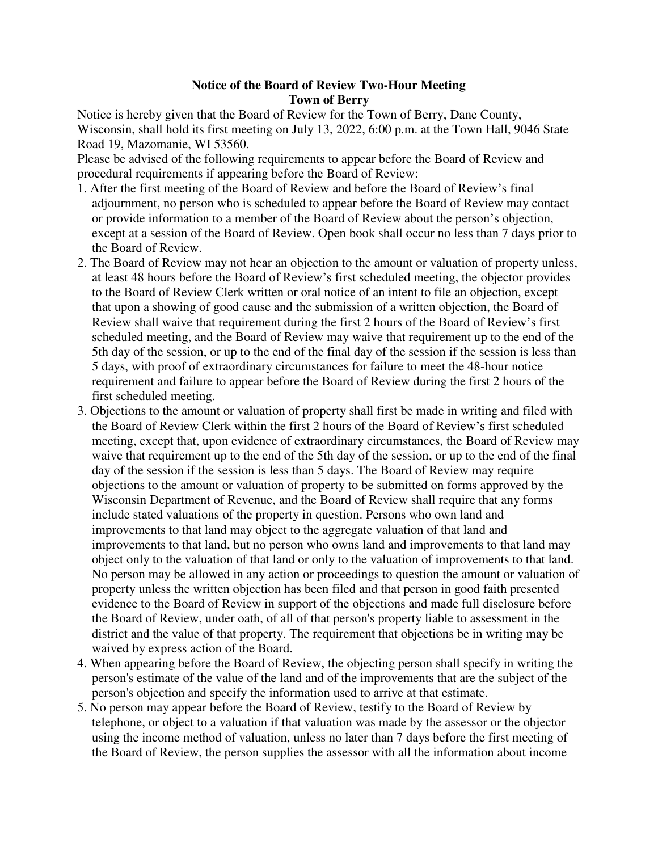## **Notice of the Board of Review Two-Hour Meeting Town of Berry**

Notice is hereby given that the Board of Review for the Town of Berry, Dane County, Wisconsin, shall hold its first meeting on July 13, 2022, 6:00 p.m. at the Town Hall, 9046 State Road 19, Mazomanie, WI 53560.

Please be advised of the following requirements to appear before the Board of Review and procedural requirements if appearing before the Board of Review:

- 1. After the first meeting of the Board of Review and before the Board of Review's final adjournment, no person who is scheduled to appear before the Board of Review may contact or provide information to a member of the Board of Review about the person's objection, except at a session of the Board of Review. Open book shall occur no less than 7 days prior to the Board of Review.
- 2. The Board of Review may not hear an objection to the amount or valuation of property unless, at least 48 hours before the Board of Review's first scheduled meeting, the objector provides to the Board of Review Clerk written or oral notice of an intent to file an objection, except that upon a showing of good cause and the submission of a written objection, the Board of Review shall waive that requirement during the first 2 hours of the Board of Review's first scheduled meeting, and the Board of Review may waive that requirement up to the end of the 5th day of the session, or up to the end of the final day of the session if the session is less than 5 days, with proof of extraordinary circumstances for failure to meet the 48-hour notice requirement and failure to appear before the Board of Review during the first 2 hours of the first scheduled meeting.
- 3. Objections to the amount or valuation of property shall first be made in writing and filed with the Board of Review Clerk within the first 2 hours of the Board of Review's first scheduled meeting, except that, upon evidence of extraordinary circumstances, the Board of Review may waive that requirement up to the end of the 5th day of the session, or up to the end of the final day of the session if the session is less than 5 days. The Board of Review may require objections to the amount or valuation of property to be submitted on forms approved by the Wisconsin Department of Revenue, and the Board of Review shall require that any forms include stated valuations of the property in question. Persons who own land and improvements to that land may object to the aggregate valuation of that land and improvements to that land, but no person who owns land and improvements to that land may object only to the valuation of that land or only to the valuation of improvements to that land. No person may be allowed in any action or proceedings to question the amount or valuation of property unless the written objection has been filed and that person in good faith presented evidence to the Board of Review in support of the objections and made full disclosure before the Board of Review, under oath, of all of that person's property liable to assessment in the district and the value of that property. The requirement that objections be in writing may be waived by express action of the Board.
- 4. When appearing before the Board of Review, the objecting person shall specify in writing the person's estimate of the value of the land and of the improvements that are the subject of the person's objection and specify the information used to arrive at that estimate.
- 5. No person may appear before the Board of Review, testify to the Board of Review by telephone, or object to a valuation if that valuation was made by the assessor or the objector using the income method of valuation, unless no later than 7 days before the first meeting of the Board of Review, the person supplies the assessor with all the information about income